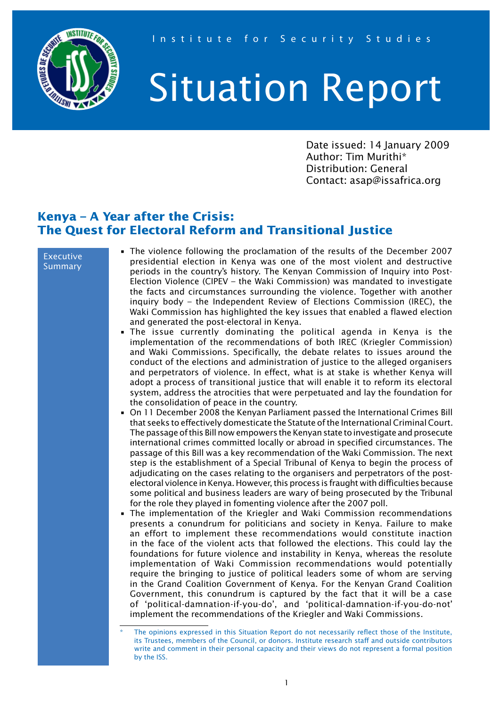

## Situation Report

Date issued: 14 January 2009 Author: Tim Murithi\* Distribution: General Contact: asap@issafrica.org

## **Kenya – A Year after the Crisis: The Quest for Electoral Reform and Transitional Justice**

## Executive Summary

- The violence following the proclamation of the results of the December 2007 presidential election in Kenya was one of the most violent and destructive periods in the country's history. The Kenyan Commission of Inquiry into Post-Election Violence (CIPEV – the Waki Commission) was mandated to investigate the facts and circumstances surrounding the violence. Together with another inquiry body – the Independent Review of Elections Commission (IREC), the Waki Commission has highlighted the key issues that enabled a flawed election and generated the post-electoral in Kenya.
- The issue currently dominating the political agenda in Kenya is the implementation of the recommendations of both IREC (Kriegler Commission) and Waki Commissions. Specifically, the debate relates to issues around the conduct of the elections and administration of justice to the alleged organisers and perpetrators of violence. In effect, what is at stake is whether Kenya will adopt a process of transitional justice that will enable it to reform its electoral system, address the atrocities that were perpetuated and lay the foundation for the consolidation of peace in the country.
- On 11 December 2008 the Kenyan Parliament passed the International Crimes Bill that seeks to effectively domesticate the Statute of the International Criminal Court. The passage of this Bill now empowers the Kenyan state to investigate and prosecute international crimes committed locally or abroad in specified circumstances. The passage of this Bill was a key recommendation of the Waki Commission. The next step is the establishment of a Special Tribunal of Kenya to begin the process of adjudicating on the cases relating to the organisers and perpetrators of the postelectoral violence in Kenya. However, this process is fraught with difficulties because some political and business leaders are wary of being prosecuted by the Tribunal for the role they played in fomenting violence after the 2007 poll.
- The implementation of the Kriegler and Waki Commission recommendations presents a conundrum for politicians and society in Kenya. Failure to make an effort to implement these recommendations would constitute inaction in the face of the violent acts that followed the elections. This could lay the foundations for future violence and instability in Kenya, whereas the resolute implementation of Waki Commission recommendations would potentially require the bringing to justice of political leaders some of whom are serving in the Grand Coalition Government of Kenya. For the Kenyan Grand Coalition Government, this conundrum is captured by the fact that it will be a case of 'political-damnation-if-you-do', and 'political-damnation-if-you-do-not' implement the recommendations of the Kriegler and Waki Commissions.

The opinions expressed in this Situation Report do not necessarily reflect those of the Institute, its Trustees, members of the Council, or donors. Institute research staff and outside contributors write and comment in their personal capacity and their views do not represent a formal position by the ISS.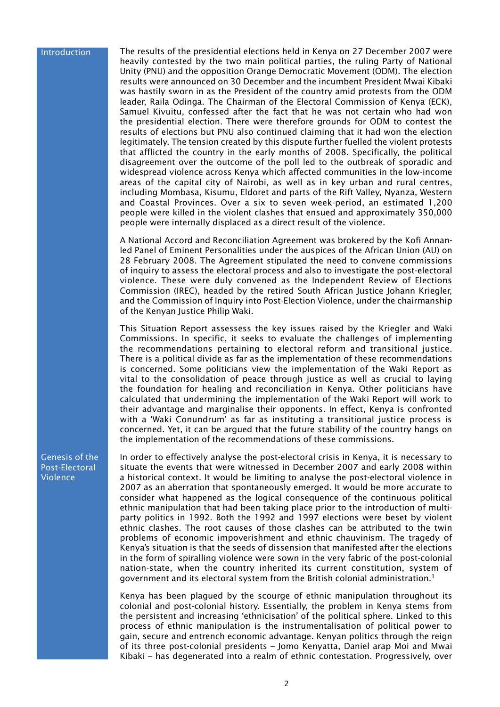## Introduction

The results of the presidential elections held in Kenya on 27 December 2007 were heavily contested by the two main political parties, the ruling Party of National Unity (PNU) and the opposition Orange Democratic Movement (ODM). The election results were announced on 30 December and the incumbent President Mwai Kibaki was hastily sworn in as the President of the country amid protests from the ODM leader, Raila Odinga. The Chairman of the Electoral Commission of Kenya (ECK), Samuel Kivuitu, confessed after the fact that he was not certain who had won the presidential election. There were therefore grounds for ODM to contest the results of elections but PNU also continued claiming that it had won the election legitimately. The tension created by this dispute further fuelled the violent protests that afflicted the country in the early months of 2008. Specifically, the political disagreement over the outcome of the poll led to the outbreak of sporadic and widespread violence across Kenya which affected communities in the low-income areas of the capital city of Nairobi, as well as in key urban and rural centres, including Mombasa, Kisumu, Eldoret and parts of the Rift Valley, Nyanza, Western and Coastal Provinces. Over a six to seven week-period, an estimated 1,200 people were killed in the violent clashes that ensued and approximately 350,000 people were internally displaced as a direct result of the violence.

A National Accord and Reconciliation Agreement was brokered by the Kofi Annanled Panel of Eminent Personalities under the auspices of the African Union (AU) on 28 February 2008. The Agreement stipulated the need to convene commissions of inquiry to assess the electoral process and also to investigate the post-electoral violence. These were duly convened as the Independent Review of Elections Commission (IREC), headed by the retired South African Justice Johann Kriegler, and the Commission of Inquiry into Post-Election Violence, under the chairmanship of the Kenyan Justice Philip Waki.

This Situation Report assessess the key issues raised by the Kriegler and Waki Commissions. In specific, it seeks to evaluate the challenges of implementing the recommendations pertaining to electoral reform and transitional justice. There is a political divide as far as the implementation of these recommendations is concerned. Some politicians view the implementation of the Waki Report as vital to the consolidation of peace through justice as well as crucial to laying the foundation for healing and reconciliation in Kenya. Other politicians have calculated that undermining the implementation of the Waki Report will work to their advantage and marginalise their opponents. In effect, Kenya is confronted with a 'Waki Conundrum' as far as instituting a transitional justice process is concerned. Yet, it can be argued that the future stability of the country hangs on the implementation of the recommendations of these commissions.

Genesis of the Post-Electoral Violence

In order to effectively analyse the post-electoral crisis in Kenya, it is necessary to situate the events that were witnessed in December 2007 and early 2008 within a historical context. It would be limiting to analyse the post-electoral violence in 2007 as an aberration that spontaneously emerged. It would be more accurate to consider what happened as the logical consequence of the continuous political ethnic manipulation that had been taking place prior to the introduction of multiparty politics in 1992. Both the 1992 and 1997 elections were beset by violent ethnic clashes. The root causes of those clashes can be attributed to the twin problems of economic impoverishment and ethnic chauvinism. The tragedy of Kenya's situation is that the seeds of dissension that manifested after the elections in the form of spiralling violence were sown in the very fabric of the post-colonial nation-state, when the country inherited its current constitution, system of government and its electoral system from the British colonial administration.1

Kenya has been plagued by the scourge of ethnic manipulation throughout its colonial and post-colonial history. Essentially, the problem in Kenya stems from the persistent and increasing 'ethnicisation' of the political sphere. Linked to this process of ethnic manipulation is the instrumentalisation of political power to gain, secure and entrench economic advantage. Kenyan politics through the reign of its three post-colonial presidents – Jomo Kenyatta, Daniel arap Moi and Mwai Kibaki – has degenerated into a realm of ethnic contestation. Progressively, over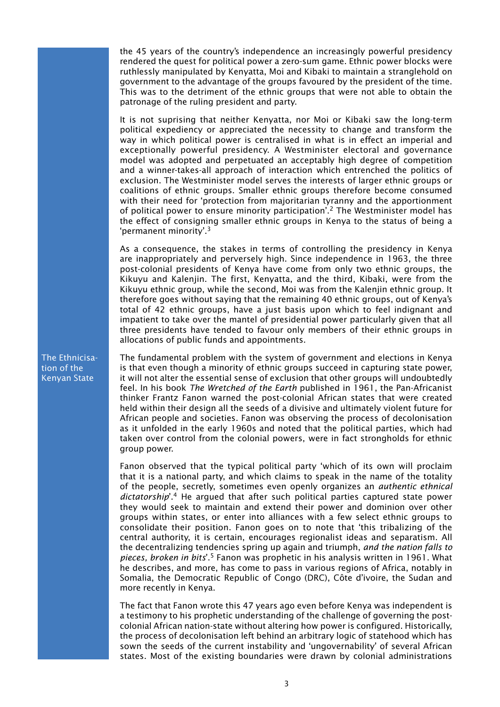the 45 years of the country's independence an increasingly powerful presidency rendered the quest for political power a zero-sum game. Ethnic power blocks were ruthlessly manipulated by Kenyatta, Moi and Kibaki to maintain a stranglehold on government to the advantage of the groups favoured by the president of the time. This was to the detriment of the ethnic groups that were not able to obtain the patronage of the ruling president and party.

It is not suprising that neither Kenyatta, nor Moi or Kibaki saw the long-term political expediency or appreciated the necessity to change and transform the way in which political power is centralised in what is in effect an imperial and exceptionally powerful presidency. A Westminister electoral and governance model was adopted and perpetuated an acceptably high degree of competition and a winner-takes-all approach of interaction which entrenched the politics of exclusion. The Westminister model serves the interests of larger ethnic groups or coalitions of ethnic groups. Smaller ethnic groups therefore become consumed with their need for 'protection from majoritarian tyranny and the apportionment of political power to ensure minority participation'.2 The Westminister model has the effect of consigning smaller ethnic groups in Kenya to the status of being a 'permanent minority'.3

As a consequence, the stakes in terms of controlling the presidency in Kenya are inappropriately and perversely high. Since independence in 1963, the three post-colonial presidents of Kenya have come from only two ethnic groups, the Kikuyu and Kalenjin. The first, Kenyatta, and the third, Kibaki, were from the Kikuyu ethnic group, while the second, Moi was from the Kalenjin ethnic group. It therefore goes without saying that the remaining 40 ethnic groups, out of Kenya's total of 42 ethnic groups, have a just basis upon which to feel indignant and impatient to take over the mantel of presidential power particularly given that all three presidents have tended to favour only members of their ethnic groups in allocations of public funds and appointments.

The fundamental problem with the system of government and elections in Kenya is that even though a minority of ethnic groups succeed in capturing state power, it will not alter the essential sense of exclusion that other groups will undoubtedly feel. In his book *The Wretched of the Earth* published in 1961, the Pan-Africanist thinker Frantz Fanon warned the post-colonial African states that were created held within their design all the seeds of a divisive and ultimately violent future for African people and societies. Fanon was observing the process of decolonisation as it unfolded in the early 1960s and noted that the political parties, which had taken over control from the colonial powers, were in fact strongholds for ethnic group power.

Fanon observed that the typical political party 'which of its own will proclaim that it is a national party, and which claims to speak in the name of the totality of the people, secretly, sometimes even openly organizes an *authentic ethnical dictatorship*'.4 He argued that after such political parties captured state power they would seek to maintain and extend their power and dominion over other groups within states, or enter into alliances with a few select ethnic groups to consolidate their position. Fanon goes on to note that 'this tribalizing of the central authority, it is certain, encourages regionalist ideas and separatism. All the decentralizing tendencies spring up again and triumph, *and the nation falls to pieces, broken in bits*'.5 Fanon was prophetic in his analysis written in 1961. What he describes, and more, has come to pass in various regions of Africa, notably in Somalia, the Democratic Republic of Congo (DRC), Côte d'ivoire, the Sudan and more recently in Kenya.

The fact that Fanon wrote this 47 years ago even before Kenya was independent is a testimony to his prophetic understanding of the challenge of governing the postcolonial African nation-state without altering how power is configured. Historically, the process of decolonisation left behind an arbitrary logic of statehood which has sown the seeds of the current instability and 'ungovernability' of several African states. Most of the existing boundaries were drawn by colonial administrations

The Ethnicisation of the Kenyan State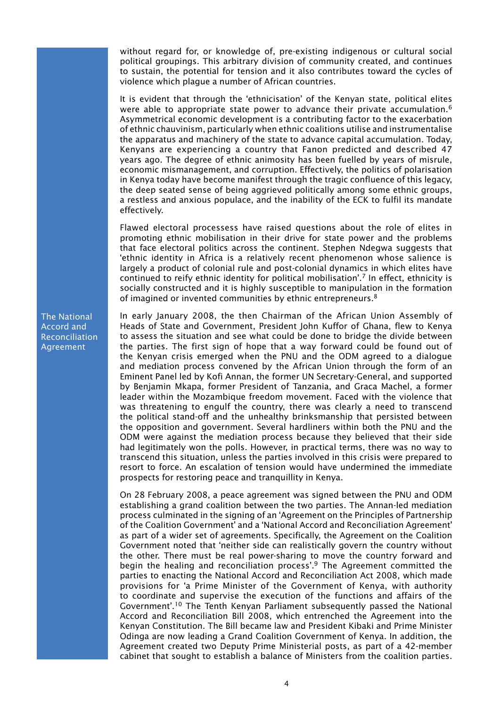without regard for, or knowledge of, pre-existing indigenous or cultural social political groupings. This arbitrary division of community created, and continues to sustain, the potential for tension and it also contributes toward the cycles of violence which plague a number of African countries.

It is evident that through the 'ethnicisation' of the Kenyan state, political elites were able to appropriate state power to advance their private accumulation.<sup>6</sup> Asymmetrical economic development is a contributing factor to the exacerbation of ethnic chauvinism, particularly when ethnic coalitions utilise and instrumentalise the apparatus and machinery of the state to advance capital accumulation. Today, Kenyans are experiencing a country that Fanon predicted and described 47 years ago. The degree of ethnic animosity has been fuelled by years of misrule, economic mismanagement, and corruption. Effectively, the politics of polarisation in Kenya today have become manifest through the tragic confluence of this legacy, the deep seated sense of being aggrieved politically among some ethnic groups, a restless and anxious populace, and the inability of the ECK to fulfil its mandate effectively.

Flawed electoral processess have raised questions about the role of elites in promoting ethnic mobilisation in their drive for state power and the problems that face electoral politics across the continent. Stephen Ndegwa suggests that 'ethnic identity in Africa is a relatively recent phenomenon whose salience is largely a product of colonial rule and post-colonial dynamics in which elites have continued to reify ethnic identity for political mobilisation'.7 In effect, ethnicity is socially constructed and it is highly susceptible to manipulation in the formation of imagined or invented communities by ethnic entrepreneurs.<sup>8</sup>

In early January 2008, the then Chairman of the African Union Assembly of Heads of State and Government, President John Kuffor of Ghana, flew to Kenya to assess the situation and see what could be done to bridge the divide between the parties. The first sign of hope that a way forward could be found out of the Kenyan crisis emerged when the PNU and the ODM agreed to a dialogue and mediation process convened by the African Union through the form of an Eminent Panel led by Kofi Annan, the former UN Secretary-General, and supported by Benjamin Mkapa, former President of Tanzania, and Graca Machel, a former leader within the Mozambique freedom movement. Faced with the violence that was threatening to engulf the country, there was clearly a need to transcend the political stand-off and the unhealthy brinksmanship that persisted between the opposition and government. Several hardliners within both the PNU and the ODM were against the mediation process because they believed that their side had legitimately won the polls. However, in practical terms, there was no way to transcend this situation, unless the parties involved in this crisis were prepared to resort to force. An escalation of tension would have undermined the immediate prospects for restoring peace and tranquillity in Kenya.

On 28 February 2008, a peace agreement was signed between the PNU and ODM establishing a grand coalition between the two parties. The Annan-led mediation process culminated in the signing of an 'Agreement on the Principles of Partnership of the Coalition Government' and a 'National Accord and Reconciliation Agreement' as part of a wider set of agreements. Specifically, the Agreement on the Coalition Government noted that 'neither side can realistically govern the country without the other. There must be real power-sharing to move the country forward and begin the healing and reconciliation process'.<sup>9</sup> The Agreement committed the parties to enacting the National Accord and Reconciliation Act 2008, which made provisions for 'a Prime Minister of the Government of Kenya, with authority to coordinate and supervise the execution of the functions and affairs of the Government'.10 The Tenth Kenyan Parliament subsequently passed the National Accord and Reconciliation Bill 2008, which entrenched the Agreement into the Kenyan Constitution. The Bill became law and President Kibaki and Prime Minister Odinga are now leading a Grand Coalition Government of Kenya. In addition, the Agreement created two Deputy Prime Ministerial posts, as part of a 42-member cabinet that sought to establish a balance of Ministers from the coalition parties.

The National Accord and Reconciliation Agreement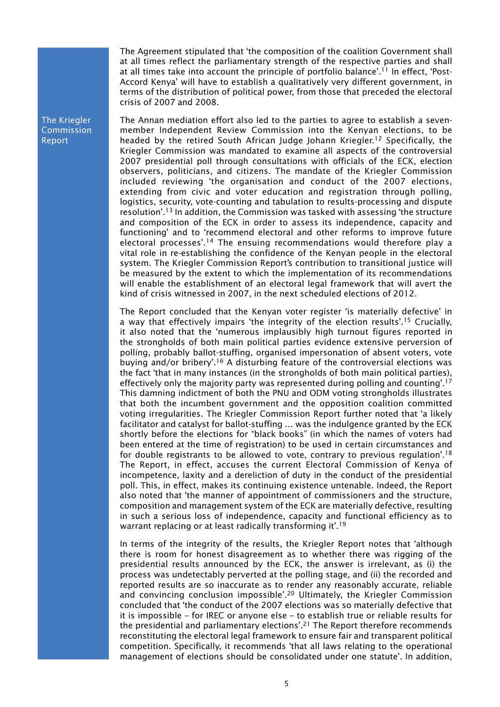The Agreement stipulated that 'the composition of the coalition Government shall at all times reflect the parliamentary strength of the respective parties and shall at all times take into account the principle of portfolio balance'.<sup>11</sup> In effect, 'Post-Accord Kenya' will have to establish a qualitatively very different government, in terms of the distribution of political power, from those that preceded the electoral crisis of 2007 and 2008.

The Annan mediation effort also led to the parties to agree to establish a sevenmember Independent Review Commission into the Kenyan elections, to be headed by the retired South African Judge Johann Kriegler.<sup>12</sup> Specifically, the Kriegler Commission was mandated to examine all aspects of the controversial 2007 presidential poll through consultations with officials of the ECK, election observers, politicians, and citizens. The mandate of the Kriegler Commission included reviewing 'the organisation and conduct of the 2007 elections, extending from civic and voter education and registration through polling, logistics, security, vote-counting and tabulation to results-processing and dispute resolution'.13 In addition, the Commission was tasked with assessing 'the structure and composition of the ECK in order to assess its independence, capacity and functioning' and to 'recommend electoral and other reforms to improve future electoral processes'.<sup>14</sup> The ensuing recommendations would therefore play a vital role in re-establishing the confidence of the Kenyan people in the electoral system. The Kriegler Commission Report's contribution to transitional justice will be measured by the extent to which the implementation of its recommendations will enable the establishment of an electoral legal framework that will avert the kind of crisis witnessed in 2007, in the next scheduled elections of 2012.

The Report concluded that the Kenyan voter register 'is materially defective' in a way that effectively impairs 'the integrity of the election results'.<sup>15</sup> Crucially, it also noted that the 'numerous implausibly high turnout figures reported in the strongholds of both main political parties evidence extensive perversion of polling, probably ballot-stuffing, organised impersonation of absent voters, vote buying and/or bribery'.<sup>16</sup> A disturbing feature of the controversial elections was the fact 'that in many instances (in the strongholds of both main political parties), effectively only the majority party was represented during polling and counting'.<sup>17</sup> This damning indictment of both the PNU and ODM voting strongholds illustrates that both the incumbent government and the opposition coalition committed voting irregularities. The Kriegler Commission Report further noted that 'a likely facilitator and catalyst for ballot-stuffing … was the indulgence granted by the ECK shortly before the elections for "black books" (in which the names of voters had been entered at the time of registration) to be used in certain circumstances and for double registrants to be allowed to vote, contrary to previous regulation'.<sup>18</sup> The Report, in effect, accuses the current Electoral Commission of Kenya of incompetence, laxity and a dereliction of duty in the conduct of the presidential poll. This, in effect, makes its continuing existence untenable. Indeed, the Report also noted that 'the manner of appointment of commissioners and the structure, composition and management system of the ECK are materially defective, resulting in such a serious loss of independence, capacity and functional efficiency as to warrant replacing or at least radically transforming it'.<sup>19</sup>

In terms of the integrity of the results, the Kriegler Report notes that 'although there is room for honest disagreement as to whether there was rigging of the presidential results announced by the ECK, the answer is irrelevant, as (i) the process was undetectably perverted at the polling stage, and (ii) the recorded and reported results are so inaccurate as to render any reasonably accurate, reliable and convincing conclusion impossible'.20 Ultimately, the Kriegler Commission concluded that 'the conduct of the 2007 elections was so materially defective that it is impossible – for IREC or anyone else – to establish true or reliable results for the presidential and parliamentary elections'.21 The Report therefore recommends reconstituting the electoral legal framework to ensure fair and transparent political competition. Specifically, it recommends 'that all laws relating to the operational management of elections should be consolidated under one statute'. In addition,

The Kriegler Commission Report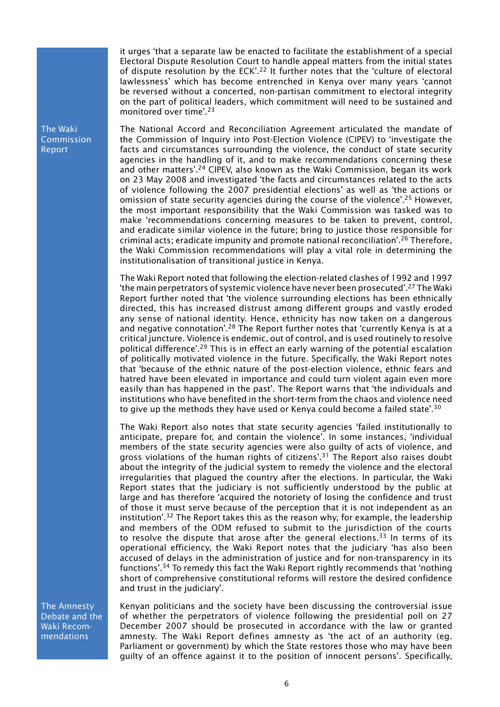it urges 'that a separate law be enacted to facilitate the establishment of a special Electoral Dispute Resolution Court to handle appeal matters from the initial states of dispute resolution by the ECK'.22 It further notes that the 'culture of electoral lawlessness' which has become entrenched in Kenya over many years 'cannot be reversed without a concerted, non-partisan commitment to electoral integrity on the part of political leaders, which commitment will need to be sustained and monitored over time'.23

The National Accord and Reconciliation Agreement articulated the mandate of the Commission of Inquiry into Post-Election Violence (CIPEV) to 'investigate the facts and circumstances surrounding the violence, the conduct of state security agencies in the handling of it, and to make recommendations concerning these and other matters'.<sup>24</sup> CIPEV, also known as the Waki Commission, began its work on 23 May 2008 and investigated 'the facts and circumstances related to the acts of violence following the 2007 presidential elections' as well as 'the actions or omission of state security agencies during the course of the violence'.25 However, the most important responsibility that the Waki Commission was tasked was to make 'recommendations concerning measures to be taken to prevent, control, and eradicate similar violence in the future; bring to justice those responsible for criminal acts; eradicate impunity and promote national reconciliation'.26 Therefore, the Waki Commission recommendations will play a vital role in determining the institutionalisation of transitional justice in Kenya.

The Waki Report noted that following the election-related clashes of 1992 and 1997 'the main perpetrators of systemic violence have never been prosecuted'.27 The Waki Report further noted that 'the violence surrounding elections has been ethnically directed, this has increased distrust among different groups and vastly eroded any sense of national identity. Hence, ethnicity has now taken on a dangerous and negative connotation'.<sup>28</sup> The Report further notes that 'currently Kenya is at a critical juncture. Violence is endemic, out of control, and is used routinely to resolve political difference'.29 This is in effect an early warning of the potential escalation of politically motivated violence in the future. Specifically, the Waki Report notes that 'because of the ethnic nature of the post-election violence, ethnic fears and hatred have been elevated in importance and could turn violent again even more easily than has happened in the past'. The Report warns that 'the individuals and institutions who have benefited in the short-term from the chaos and violence need to give up the methods they have used or Kenya could become a failed state'.<sup>30</sup>

The Waki Report also notes that state security agencies 'failed institutionally to anticipate, prepare for, and contain the violence'. In some instances, 'individual members of the state security agencies were also guilty of acts of violence, and gross violations of the human rights of citizens'.<sup>31</sup> The Report also raises doubt about the integrity of the judicial system to remedy the violence and the electoral irregularities that plagued the country after the elections. In particular, the Waki Report states that the judiciary is not sufficiently understood by the public at large and has therefore 'acquired the notoriety of losing the confidence and trust of those it must serve because of the perception that it is not independent as an institution'.<sup>32</sup> The Report takes this as the reason why, for example, the leadership and members of the ODM refused to submit to the jurisdiction of the courts to resolve the dispute that arose after the general elections.<sup>33</sup> In terms of its operational efficiency, the Waki Report notes that the judiciary 'has also been accused of delays in the administration of justice and for non-transparency in its functions'.34 To remedy this fact the Waki Report rightly recommends that 'nothing short of comprehensive constitutional reforms will restore the desired confidence and trust in the judiciary'.

The Amnesty Debate and the Waki Recommendations

Kenyan politicians and the society have been discussing the controversial issue of whether the perpetrators of violence following the presidential poll on 27 December 2007 should be prosecuted in accordance with the law or granted amnesty. The Waki Report defines amnesty as 'the act of an authority (eg. Parliament or government) by which the State restores those who may have been guilty of an offence against it to the position of innocent persons'. Specifically,

The Waki Commission Report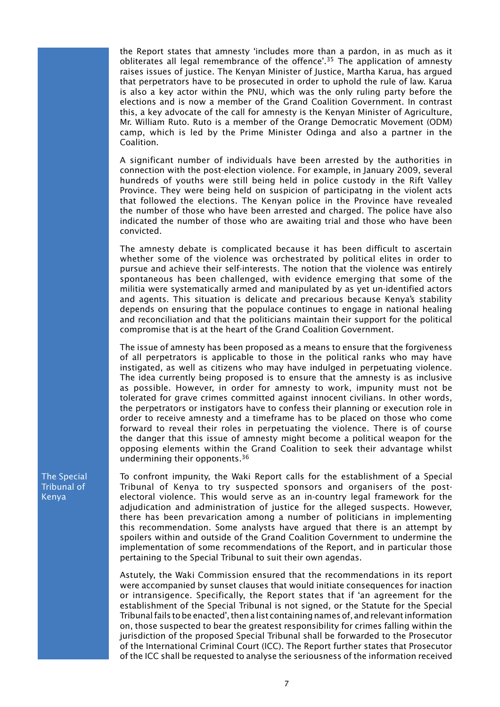the Report states that amnesty 'includes more than a pardon, in as much as it obliterates all legal remembrance of the offence'.<sup>35</sup> The application of amnesty raises issues of justice. The Kenyan Minister of Justice, Martha Karua, has argued that perpetrators have to be prosecuted in order to uphold the rule of law. Karua is also a key actor within the PNU, which was the only ruling party before the elections and is now a member of the Grand Coalition Government. In contrast this, a key advocate of the call for amnesty is the Kenyan Minister of Agriculture, Mr. William Ruto. Ruto is a member of the Orange Democratic Movement (ODM) camp, which is led by the Prime Minister Odinga and also a partner in the Coalition.

A significant number of individuals have been arrested by the authorities in connection with the post-election violence. For example, in January 2009, several hundreds of youths were still being held in police custody in the Rift Valley Province. They were being held on suspicion of participatng in the violent acts that followed the elections. The Kenyan police in the Province have revealed the number of those who have been arrested and charged. The police have also indicated the number of those who are awaiting trial and those who have been convicted.

The amnesty debate is complicated because it has been difficult to ascertain whether some of the violence was orchestrated by political elites in order to pursue and achieve their self-interests. The notion that the violence was entirely spontaneous has been challenged, with evidence emerging that some of the militia were systematically armed and manipulated by as yet un-identified actors and agents. This situation is delicate and precarious because Kenya's stability depends on ensuring that the populace continues to engage in national healing and reconciliation and that the politicians maintain their support for the political compromise that is at the heart of the Grand Coalition Government.

The issue of amnesty has been proposed as a means to ensure that the forgiveness of all perpetrators is applicable to those in the political ranks who may have instigated, as well as citizens who may have indulged in perpetuating violence. The idea currently being proposed is to ensure that the amnesty is as inclusive as possible. However, in order for amnesty to work, impunity must not be tolerated for grave crimes committed against innocent civilians. In other words, the perpetrators or instigators have to confess their planning or execution role in order to receive amnesty and a timeframe has to be placed on those who come forward to reveal their roles in perpetuating the violence. There is of course the danger that this issue of amnesty might become a political weapon for the opposing elements within the Grand Coalition to seek their advantage whilst undermining their opponents.36

To confront impunity, the Waki Report calls for the establishment of a Special Tribunal of Kenya to try suspected sponsors and organisers of the postelectoral violence. This would serve as an in-country legal framework for the adjudication and administration of justice for the alleged suspects. However, there has been prevarication among a number of politicians in implementing this recommendation. Some analysts have argued that there is an attempt by spoilers within and outside of the Grand Coalition Government to undermine the implementation of some recommendations of the Report, and in particular those pertaining to the Special Tribunal to suit their own agendas.

Astutely, the Waki Commission ensured that the recommendations in its report were accompanied by sunset clauses that would initiate consequences for inaction or intransigence. Specifically, the Report states that if 'an agreement for the establishment of the Special Tribunal is not signed, or the Statute for the Special Tribunal fails to be enacted', then a list containing names of, and relevant information on, those suspected to bear the greatest responsibility for crimes falling within the jurisdiction of the proposed Special Tribunal shall be forwarded to the Prosecutor of the International Criminal Court (ICC). The Report further states that Prosecutor of the ICC shall be requested to analyse the seriousness of the information received

The Special Tribunal of Kenya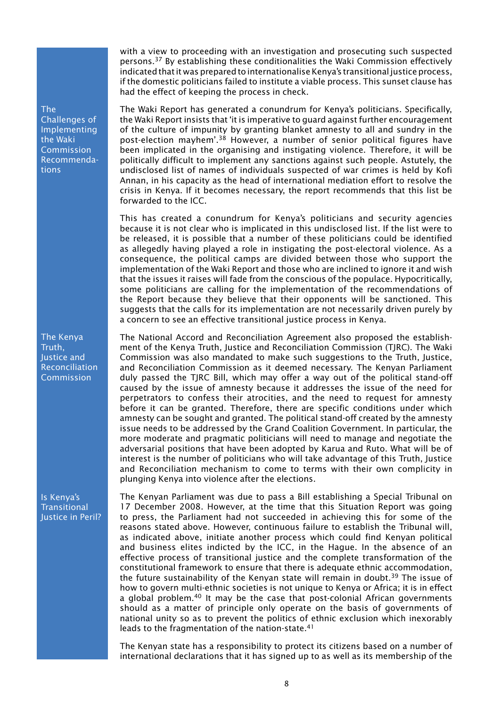The Challenges of **Implementing** the Waki Commission Recommendations

The Kenya Truth, Justice and Reconciliation Commission

Is Kenya's **Transitional** Justice in Peril? with a view to proceeding with an investigation and prosecuting such suspected persons.37 By establishing these conditionalities the Waki Commission effectively indicated that it was prepared to internationalise Kenya's transitional justice process, if the domestic politicians failed to institute a viable process. This sunset clause has had the effect of keeping the process in check.

The Waki Report has generated a conundrum for Kenya's politicians. Specifically, the Waki Report insists that 'it is imperative to guard against further encouragement of the culture of impunity by granting blanket amnesty to all and sundry in the post-election mayhem'.38 However, a number of senior political figures have been implicated in the organising and instigating violence. Therefore, it will be politically difficult to implement any sanctions against such people. Astutely, the undisclosed list of names of individuals suspected of war crimes is held by Kofi Annan, in his capacity as the head of international mediation effort to resolve the crisis in Kenya. If it becomes necessary, the report recommends that this list be forwarded to the ICC.

This has created a conundrum for Kenya's politicians and security agencies because it is not clear who is implicated in this undisclosed list. If the list were to be released, it is possible that a number of these politicians could be identified as allegedly having played a role in instigating the post-electoral violence. As a consequence, the political camps are divided between those who support the implementation of the Waki Report and those who are inclined to ignore it and wish that the issues it raises will fade from the conscious of the populace. Hypocritically, some politicians are calling for the implementation of the recommendations of the Report because they believe that their opponents will be sanctioned. This suggests that the calls for its implementation are not necessarily driven purely by a concern to see an effective transitional justice process in Kenya.

The National Accord and Reconciliation Agreement also proposed the establishment of the Kenya Truth, Justice and Reconciliation Commission (TJRC). The Waki Commission was also mandated to make such suggestions to the Truth, Justice, and Reconciliation Commission as it deemed necessary. The Kenyan Parliament duly passed the TJRC Bill, which may offer a way out of the political stand-off caused by the issue of amnesty because it addresses the issue of the need for perpetrators to confess their atrocities, and the need to request for amnesty before it can be granted. Therefore, there are specific conditions under which amnesty can be sought and granted. The political stand-off created by the amnesty issue needs to be addressed by the Grand Coalition Government. In particular, the more moderate and pragmatic politicians will need to manage and negotiate the adversarial positions that have been adopted by Karua and Ruto. What will be of interest is the number of politicians who will take advantage of this Truth, Justice and Reconciliation mechanism to come to terms with their own complicity in plunging Kenya into violence after the elections.

The Kenyan Parliament was due to pass a Bill establishing a Special Tribunal on 17 December 2008. However, at the time that this Situation Report was going to press, the Parliament had not succeeded in achieving this for some of the reasons stated above. However, continuous failure to establish the Tribunal will, as indicated above, initiate another process which could find Kenyan political and business elites indicted by the ICC, in the Hague. In the absence of an effective process of transitional justice and the complete transformation of the constitutional framework to ensure that there is adequate ethnic accommodation, the future sustainability of the Kenyan state will remain in doubt.<sup>39</sup> The issue of how to govern multi-ethnic societies is not unique to Kenya or Africa; it is in effect a global problem.40 It may be the case that post-colonial African governments should as a matter of principle only operate on the basis of governments of national unity so as to prevent the politics of ethnic exclusion which inexorably leads to the fragmentation of the nation-state.<sup>41</sup>

The Kenyan state has a responsibility to protect its citizens based on a number of international declarations that it has signed up to as well as its membership of the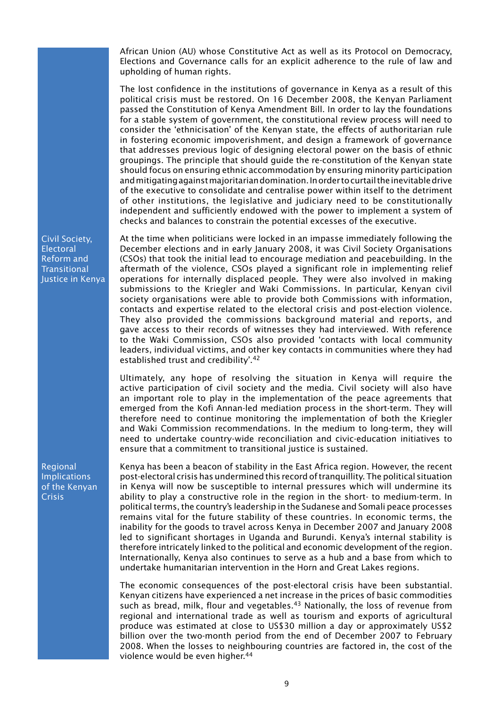African Union (AU) whose Constitutive Act as well as its Protocol on Democracy, Elections and Governance calls for an explicit adherence to the rule of law and upholding of human rights.

The lost confidence in the institutions of governance in Kenya as a result of this political crisis must be restored. On 16 December 2008, the Kenyan Parliament passed the Constitution of Kenya Amendment Bill. In order to lay the foundations for a stable system of government, the constitutional review process will need to consider the 'ethnicisation' of the Kenyan state, the effects of authoritarian rule in fostering economic impoverishment, and design a framework of governance that addresses previous logic of designing electoral power on the basis of ethnic groupings. The principle that should guide the re-constitution of the Kenyan state should focus on ensuring ethnic accommodation by ensuring minority participation and mitigating against majoritarian domination. In order to curtail the inevitable drive of the executive to consolidate and centralise power within itself to the detriment of other institutions, the legislative and judiciary need to be constitutionally independent and sufficiently endowed with the power to implement a system of checks and balances to constrain the potential excesses of the executive.

At the time when politicians were locked in an impasse immediately following the December elections and in early January 2008, it was Civil Society Organisations (CSOs) that took the initial lead to encourage mediation and peacebuilding. In the aftermath of the violence, CSOs played a significant role in implementing relief operations for internally displaced people. They were also involved in making submissions to the Kriegler and Waki Commissions. In particular, Kenyan civil society organisations were able to provide both Commissions with information, contacts and expertise related to the electoral crisis and post-election violence. They also provided the commissions background material and reports, and gave access to their records of witnesses they had interviewed. With reference to the Waki Commission, CSOs also provided 'contacts with local community leaders, individual victims, and other key contacts in communities where they had established trust and credibility'.42

Ultimately, any hope of resolving the situation in Kenya will require the active participation of civil society and the media. Civil society will also have an important role to play in the implementation of the peace agreements that emerged from the Kofi Annan-led mediation process in the short-term. They will therefore need to continue monitoring the implementation of both the Kriegler and Waki Commission recommendations. In the medium to long-term, they will need to undertake country-wide reconciliation and civic-education initiatives to ensure that a commitment to transitional justice is sustained.

Kenya has been a beacon of stability in the East Africa region. However, the recent post-electoral crisis has undermined this record of tranquillity. The political situation in Kenya will now be susceptible to internal pressures which will undermine its ability to play a constructive role in the region in the short- to medium-term. In political terms, the country's leadership in the Sudanese and Somali peace processes remains vital for the future stability of these countries. In economic terms, the inability for the goods to travel across Kenya in December 2007 and January 2008 led to significant shortages in Uganda and Burundi. Kenya's internal stability is therefore intricately linked to the political and economic development of the region. Internationally, Kenya also continues to serve as a hub and a base from which to undertake humanitarian intervention in the Horn and Great Lakes regions.

The economic consequences of the post-electoral crisis have been substantial. Kenyan citizens have experienced a net increase in the prices of basic commodities such as bread, milk, flour and vegetables. $43$  Nationally, the loss of revenue from regional and international trade as well as tourism and exports of agricultural produce was estimated at close to US\$30 million a day or approximately US\$2 billion over the two-month period from the end of December 2007 to February 2008. When the losses to neighbouring countries are factored in, the cost of the violence would be even higher.<sup>44</sup>

Civil Society, Electoral Reform and **Transitional** Justice in Kenya

Regional **Implications** of the Kenyan **Crisis**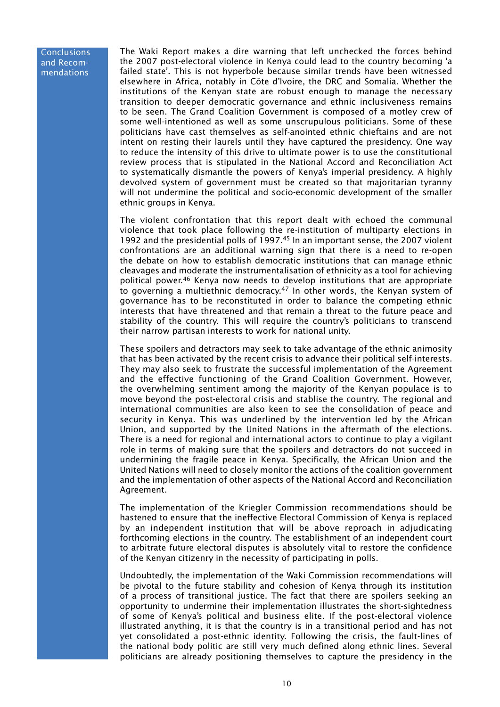**Conclusions** and Recommendations

The Waki Report makes a dire warning that left unchecked the forces behind the 2007 post-electoral violence in Kenya could lead to the country becoming 'a failed state'. This is not hyperbole because similar trends have been witnessed elsewhere in Africa, notably in Côte d'Ivoire, the DRC and Somalia. Whether the institutions of the Kenyan state are robust enough to manage the necessary transition to deeper democratic governance and ethnic inclusiveness remains to be seen. The Grand Coalition Government is composed of a motley crew of some well-intentioned as well as some unscrupulous politicians. Some of these politicians have cast themselves as self-anointed ethnic chieftains and are not intent on resting their laurels until they have captured the presidency. One way to reduce the intensity of this drive to ultimate power is to use the constitutional review process that is stipulated in the National Accord and Reconciliation Act to systematically dismantle the powers of Kenya's imperial presidency. A highly devolved system of government must be created so that majoritarian tyranny will not undermine the political and socio-economic development of the smaller ethnic groups in Kenya.

The violent confrontation that this report dealt with echoed the communal violence that took place following the re-institution of multiparty elections in 1992 and the presidential polls of 1997.45 In an important sense, the 2007 violent confrontations are an additional warning sign that there is a need to re-open the debate on how to establish democratic institutions that can manage ethnic cleavages and moderate the instrumentalisation of ethnicity as a tool for achieving political power.46 Kenya now needs to develop institutions that are appropriate to governing a multiethnic democracy.<sup>47</sup> In other words, the Kenyan system of governance has to be reconstituted in order to balance the competing ethnic interests that have threatened and that remain a threat to the future peace and stability of the country. This will require the country's politicians to transcend their narrow partisan interests to work for national unity.

These spoilers and detractors may seek to take advantage of the ethnic animosity that has been activated by the recent crisis to advance their political self-interests. They may also seek to frustrate the successful implementation of the Agreement and the effective functioning of the Grand Coalition Government. However, the overwhelming sentiment among the majority of the Kenyan populace is to move beyond the post-electoral crisis and stablise the country. The regional and international communities are also keen to see the consolidation of peace and security in Kenya. This was underlined by the intervention led by the African Union, and supported by the United Nations in the aftermath of the elections. There is a need for regional and international actors to continue to play a vigilant role in terms of making sure that the spoilers and detractors do not succeed in undermining the fragile peace in Kenya. Specifically, the African Union and the United Nations will need to closely monitor the actions of the coalition government and the implementation of other aspects of the National Accord and Reconciliation Agreement.

The implementation of the Kriegler Commission recommendations should be hastened to ensure that the ineffective Electoral Commission of Kenya is replaced by an independent institution that will be above reproach in adjudicating forthcoming elections in the country. The establishment of an independent court to arbitrate future electoral disputes is absolutely vital to restore the confidence of the Kenyan citizenry in the necessity of participating in polls.

Undoubtedly, the implementation of the Waki Commission recommendations will be pivotal to the future stability and cohesion of Kenya through its institution of a process of transitional justice. The fact that there are spoilers seeking an opportunity to undermine their implementation illustrates the short-sightedness of some of Kenya's political and business elite. If the post-electoral violence illustrated anything, it is that the country is in a transitional period and has not yet consolidated a post-ethnic identity. Following the crisis, the fault-lines of the national body politic are still very much defined along ethnic lines. Several politicians are already positioning themselves to capture the presidency in the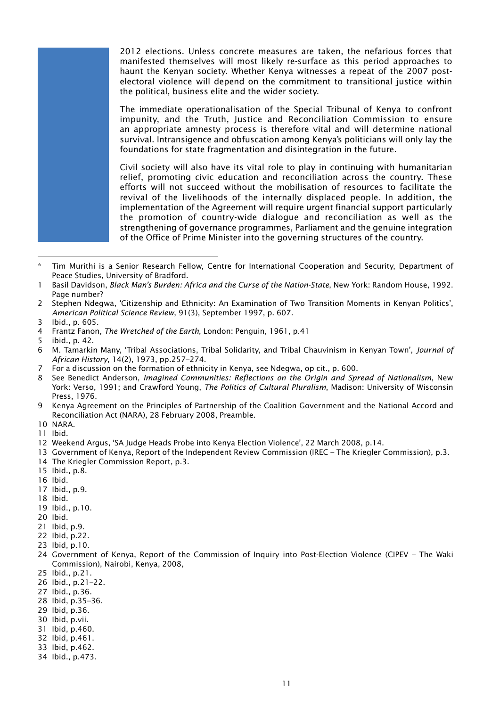2012 elections. Unless concrete measures are taken, the nefarious forces that manifested themselves will most likely re-surface as this period approaches to haunt the Kenyan society. Whether Kenya witnesses a repeat of the 2007 postelectoral violence will depend on the commitment to transitional justice within the political, business elite and the wider society.

The immediate operationalisation of the Special Tribunal of Kenya to confront impunity, and the Truth, Justice and Reconciliation Commission to ensure an appropriate amnesty process is therefore vital and will determine national survival. Intransigence and obfuscation among Kenya's politicians will only lay the foundations for state fragmentation and disintegration in the future.

Civil society will also have its vital role to play in continuing with humanitarian relief, promoting civic education and reconciliation across the country. These efforts will not succeed without the mobilisation of resources to facilitate the revival of the livelihoods of the internally displaced people. In addition, the implementation of the Agreement will require urgent financial support particularly the promotion of country-wide dialogue and reconciliation as well as the strengthening of governance programmes, Parliament and the genuine integration of the Office of Prime Minister into the governing structures of the country.

- 4 Frantz Fanon, *The Wretched of the Earth*, London: Penguin, 1961, p.41
- 5 ibid., p. 42.
- 6 M. Tamarkin Many, 'Tribal Associations, Tribal Solidarity, and Tribal Chauvinism in Kenyan Town', *Journal of African History*, 14(2), 1973, pp.257–274.
- 7 For a discussion on the formation of ethnicity in Kenya, see Ndegwa, op cit., p. 600.
- 8 See Benedict Anderson, *Imagined Communities: Reflections on the Origin and Spread of Nationalism*, New York: Verso, 1991; and Crawford Young, *The Politics of Cultural Pluralism*, Madison: University of Wisconsin Press, 1976.
- 9 Kenya Agreement on the Principles of Partnership of the Coalition Government and the National Accord and Reconciliation Act (NARA), 28 February 2008, Preamble.
- 10 NARA.
- 11 Ibid.
- 12 Weekend Argus, 'SA Judge Heads Probe into Kenya Election Violence', 22 March 2008, p.14.
- 13 Government of Kenya, Report of the Independent Review Commission (IREC The Kriegler Commission), p.3.
- 14 The Kriegler Commission Report, p.3.
- 15 Ibid., p.8.
- 16 Ibid.
- 17 Ibid., p.9.
- 18 Ibid.
- 19 Ibid., p.10.
- 20 Ibid.
- 21 Ibid, p.9.
- 22 Ibid, p.22.
- 23 Ibid, p.10.
- 24 Government of Kenya, Report of the Commission of Inquiry into Post-Election Violence (CIPEV The Waki Commission), Nairobi, Kenya, 2008,
- 25 Ibid., p.21.
- 26 Ibid., p.21–22.
- 27 Ibid., p.36.
- 28 Ibid, p.35–36.
- 29 Ibid, p.36.
- 30 Ibid, p.vii.
- 31 Ibid, p.460.
- 32 Ibid, p.461.
- 33 Ibid, p.462.
- 34 Ibid., p.473.

Tim Murithi is a Senior Research Fellow, Centre for International Cooperation and Security, Department of Peace Studies, University of Bradford.

<sup>1</sup> Basil Davidson, *Black Man's Burden: Africa and the Curse of the Nation-State*, New York: Random House, 1992. Page number?

<sup>2</sup> Stephen Ndegwa, 'Citizenship and Ethnicity: An Examination of Two Transition Moments in Kenyan Politics', *American Political Science Review*, 91(3), September 1997, p. 607.

<sup>3</sup> Ibid., p. 605.